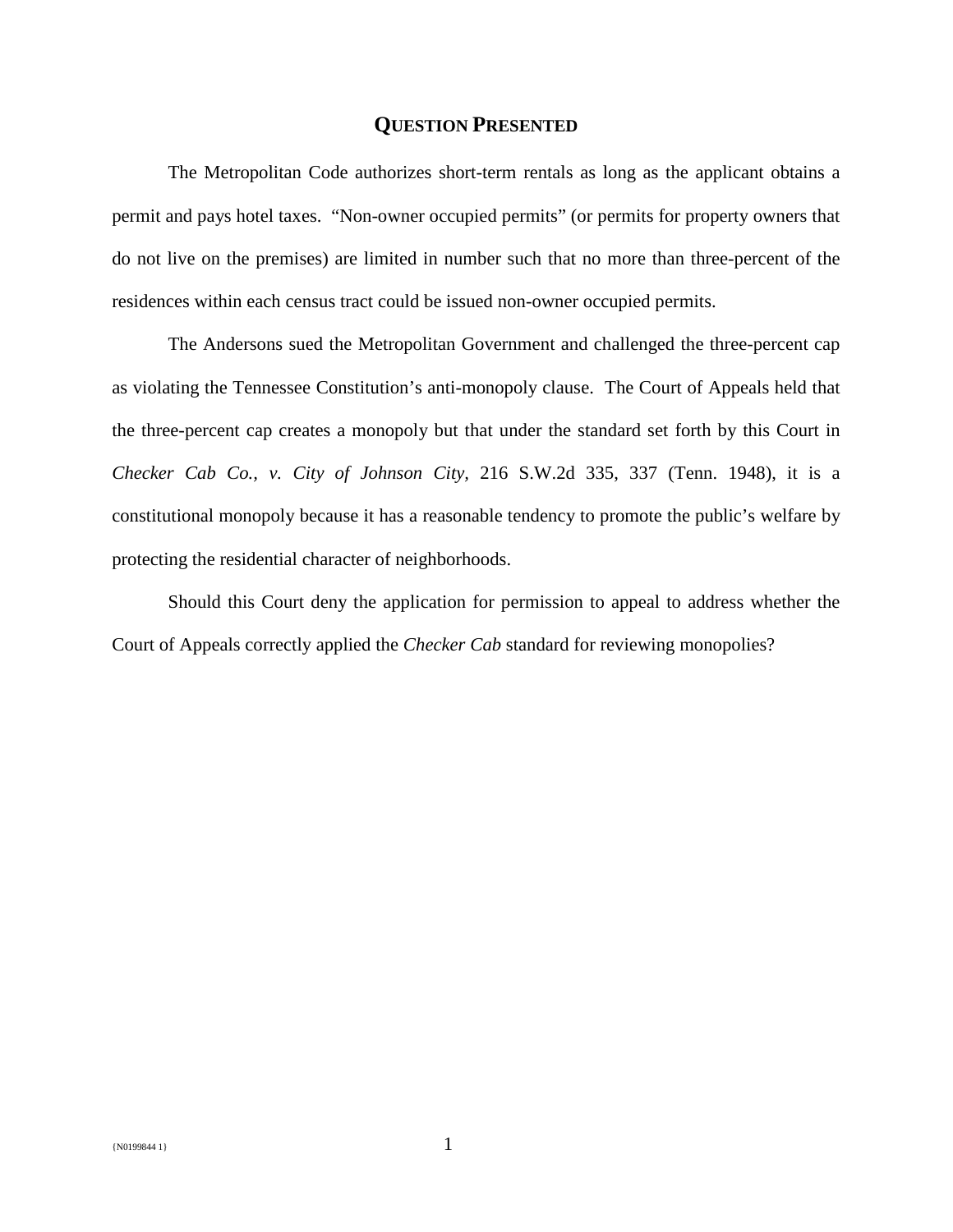## **QUESTION PRESENTED**

The Metropolitan Code authorizes short-term rentals as long as the applicant obtains a permit and pays hotel taxes. "Non-owner occupied permits" (or permits for property owners that do not live on the premises) are limited in number such that no more than three-percent of the residences within each census tract could be issued non-owner occupied permits.

The Andersons sued the Metropolitan Government and challenged the three-percent cap as violating the Tennessee Constitution's anti-monopoly clause. The Court of Appeals held that the three-percent cap creates a monopoly but that under the standard set forth by this Court in *Checker Cab Co., v. City of Johnson City,* 216 S.W.2d 335, 337 (Tenn. 1948), it is a constitutional monopoly because it has a reasonable tendency to promote the public's welfare by protecting the residential character of neighborhoods.

Should this Court deny the application for permission to appeal to address whether the Court of Appeals correctly applied the *Checker Cab* standard for reviewing monopolies?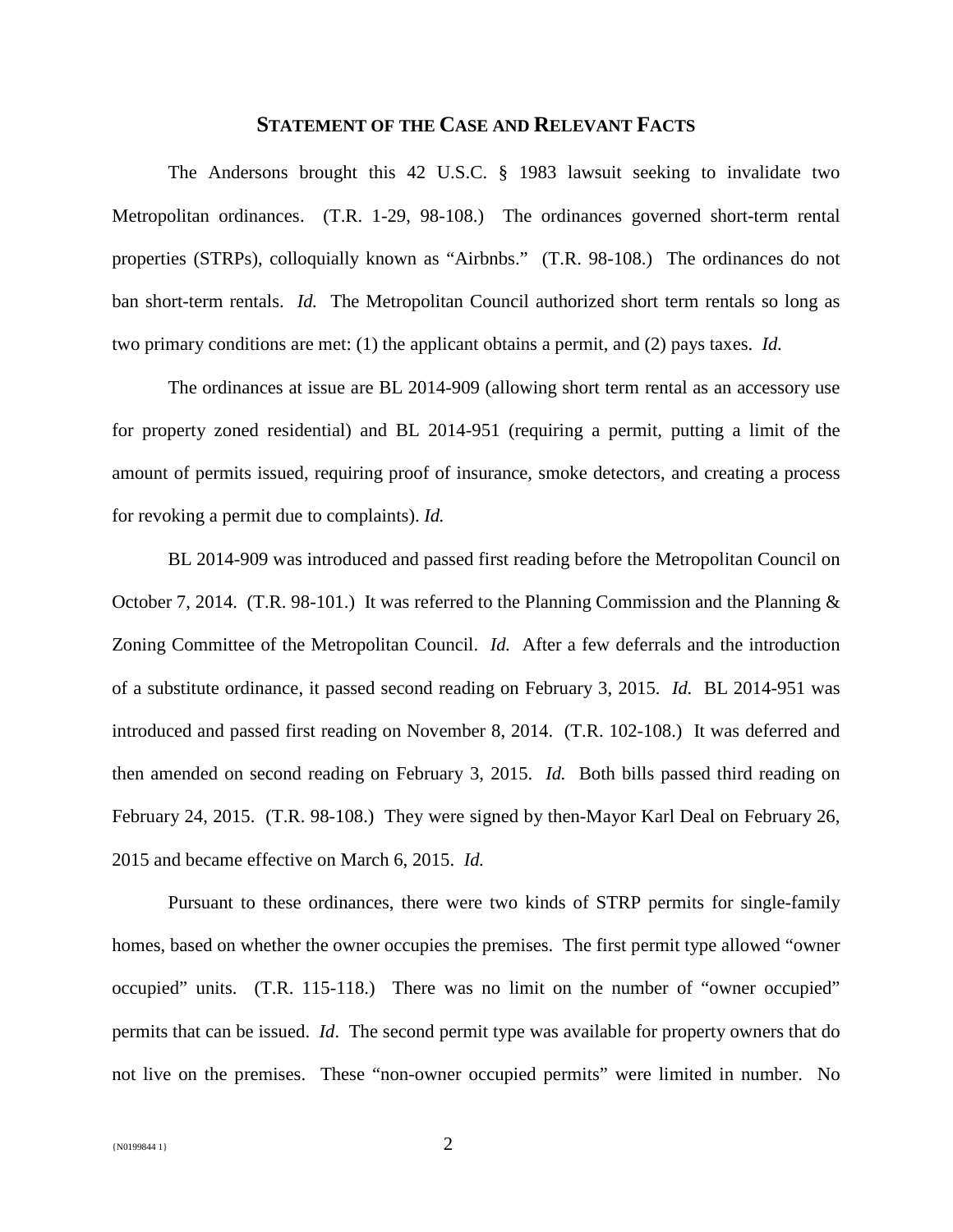## **STATEMENT OF THE CASE AND RELEVANT FACTS**

The Andersons brought this 42 U.S.C. § 1983 lawsuit seeking to invalidate two Metropolitan ordinances. (T.R. 1-29, 98-108.) The ordinances governed short-term rental properties (STRPs), colloquially known as "Airbnbs." (T.R. 98-108.) The ordinances do not ban short-term rentals. *Id.* The Metropolitan Council authorized short term rentals so long as two primary conditions are met: (1) the applicant obtains a permit, and (2) pays taxes. *Id.* 

The ordinances at issue are BL 2014-909 (allowing short term rental as an accessory use for property zoned residential) and BL 2014-951 (requiring a permit, putting a limit of the amount of permits issued, requiring proof of insurance, smoke detectors, and creating a process for revoking a permit due to complaints). *Id.*

BL 2014-909 was introduced and passed first reading before the Metropolitan Council on October 7, 2014. (T.R. 98-101.) It was referred to the Planning Commission and the Planning & Zoning Committee of the Metropolitan Council. *Id.* After a few deferrals and the introduction of a substitute ordinance, it passed second reading on February 3, 2015. *Id.* BL 2014-951 was introduced and passed first reading on November 8, 2014. (T.R. 102-108.) It was deferred and then amended on second reading on February 3, 2015. *Id.* Both bills passed third reading on February 24, 2015. (T.R. 98-108.)They were signed by then-Mayor Karl Deal on February 26, 2015 and became effective on March 6, 2015. *Id.*

Pursuant to these ordinances, there were two kinds of STRP permits for single-family homes, based on whether the owner occupies the premises. The first permit type allowed "owner occupied" units. (T.R. 115-118.) There was no limit on the number of "owner occupied" permits that can be issued. *Id*. The second permit type was available for property owners that do not live on the premises. These "non-owner occupied permits" were limited in number. No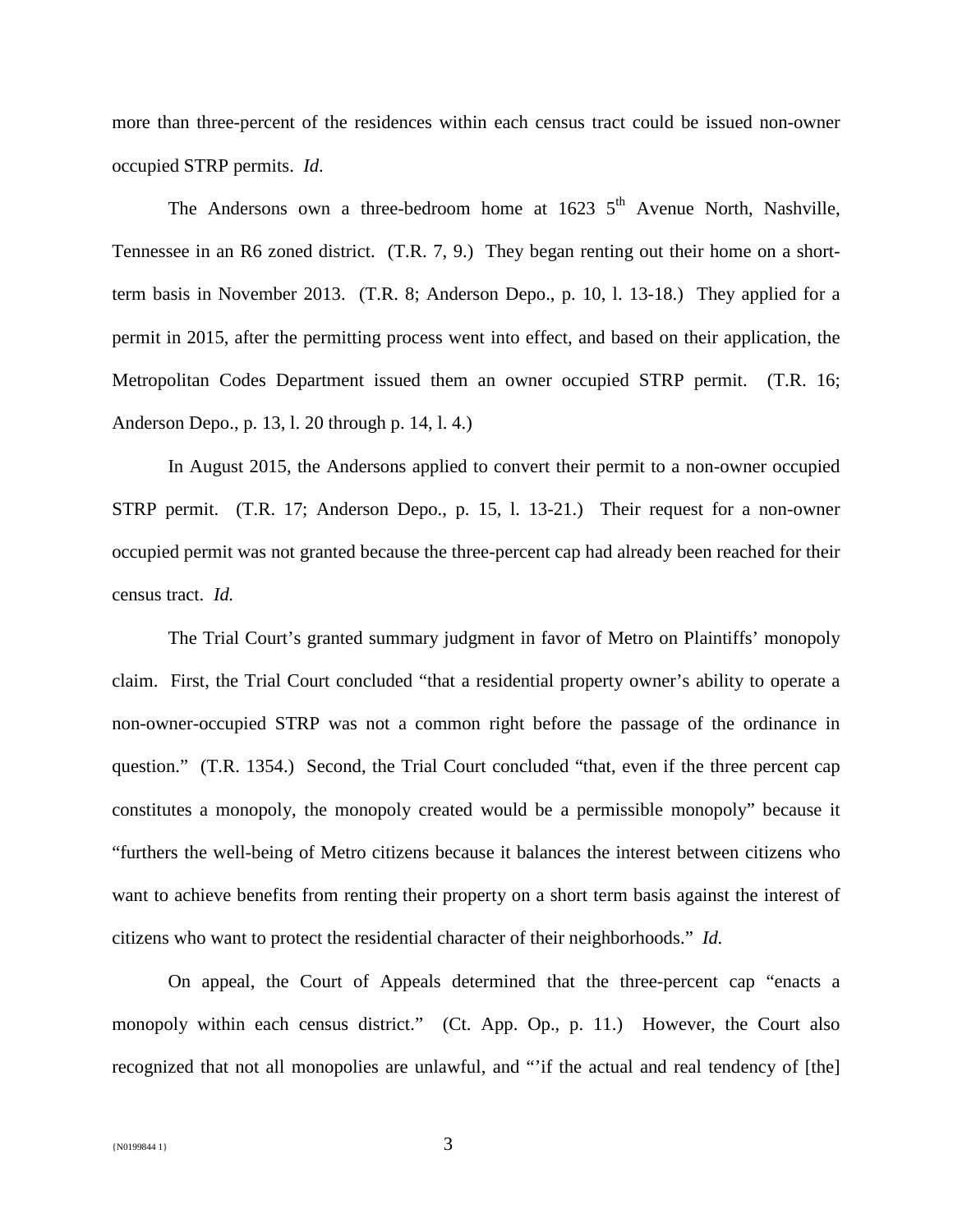more than three-percent of the residences within each census tract could be issued non-owner occupied STRP permits. *Id*.

The Andersons own a three-bedroom home at  $1623\,5^{th}$  Avenue North, Nashville, Tennessee in an R6 zoned district. (T.R. 7, 9.) They began renting out their home on a shortterm basis in November 2013. (T.R. 8; Anderson Depo., p. 10, l. 13-18.) They applied for a permit in 2015, after the permitting process went into effect, and based on their application, the Metropolitan Codes Department issued them an owner occupied STRP permit. (T.R. 16; Anderson Depo., p. 13, l. 20 through p. 14, l. 4.)

In August 2015, the Andersons applied to convert their permit to a non-owner occupied STRP permit. (T.R. 17; Anderson Depo., p. 15, l. 13-21.) Their request for a non-owner occupied permit was not granted because the three-percent cap had already been reached for their census tract. *Id.* 

The Trial Court's granted summary judgment in favor of Metro on Plaintiffs' monopoly claim. First, the Trial Court concluded "that a residential property owner's ability to operate a non-owner-occupied STRP was not a common right before the passage of the ordinance in question." (T.R. 1354.) Second, the Trial Court concluded "that, even if the three percent cap constitutes a monopoly, the monopoly created would be a permissible monopoly" because it "furthers the well-being of Metro citizens because it balances the interest between citizens who want to achieve benefits from renting their property on a short term basis against the interest of citizens who want to protect the residential character of their neighborhoods." *Id.*

On appeal, the Court of Appeals determined that the three-percent cap "enacts a monopoly within each census district." (Ct. App. Op., p. 11.) However, the Court also recognized that not all monopolies are unlawful, and "'if the actual and real tendency of [the]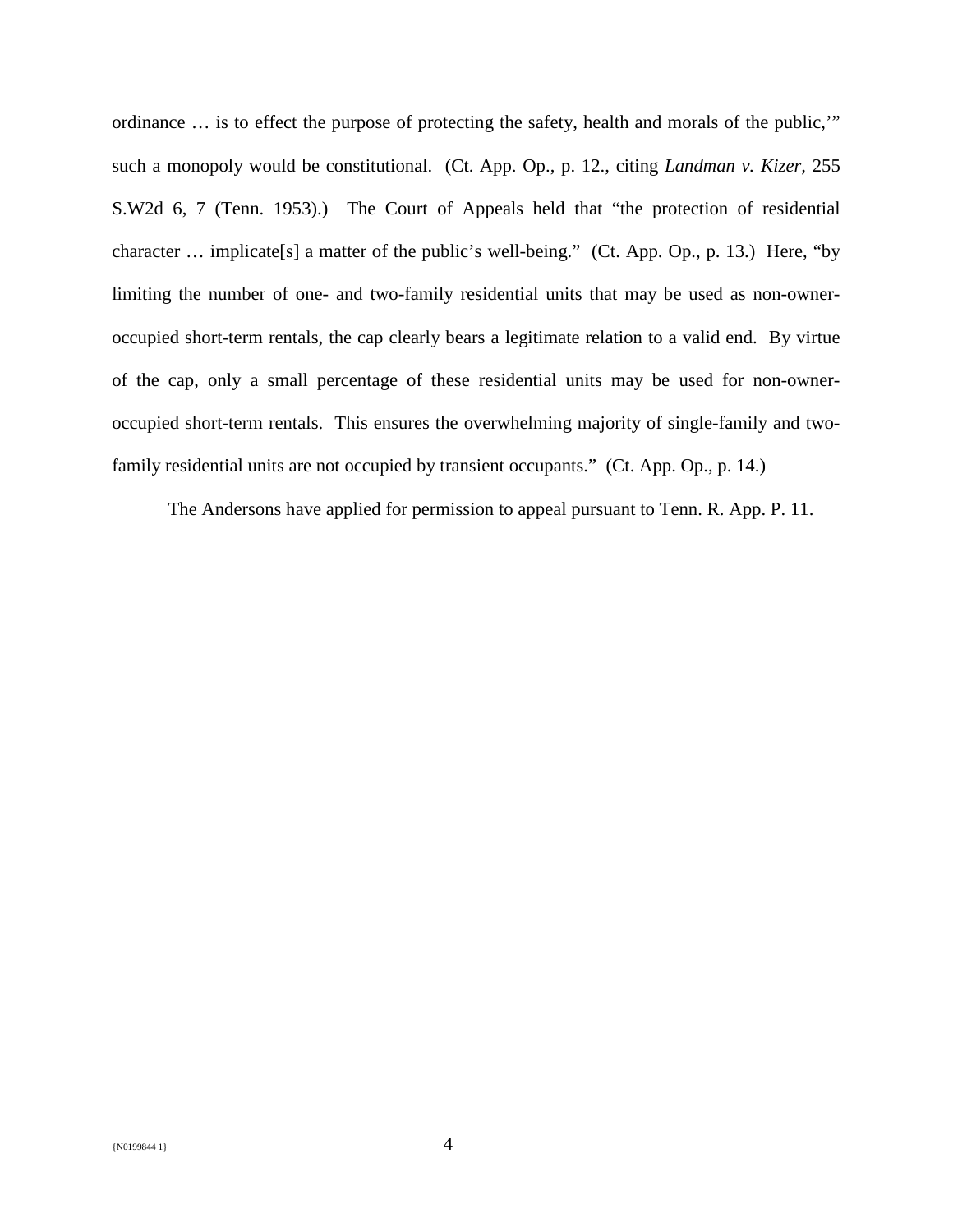ordinance … is to effect the purpose of protecting the safety, health and morals of the public,'" such a monopoly would be constitutional. (Ct. App. Op., p. 12., citing *Landman v. Kizer,* 255 S.W2d 6, 7 (Tenn. 1953).) The Court of Appeals held that "the protection of residential character … implicate[s] a matter of the public's well-being." (Ct. App. Op., p. 13.) Here, "by limiting the number of one- and two-family residential units that may be used as non-owneroccupied short-term rentals, the cap clearly bears a legitimate relation to a valid end. By virtue of the cap, only a small percentage of these residential units may be used for non-owneroccupied short-term rentals. This ensures the overwhelming majority of single-family and twofamily residential units are not occupied by transient occupants." (Ct. App. Op., p. 14.)

The Andersons have applied for permission to appeal pursuant to Tenn. R. App. P. 11.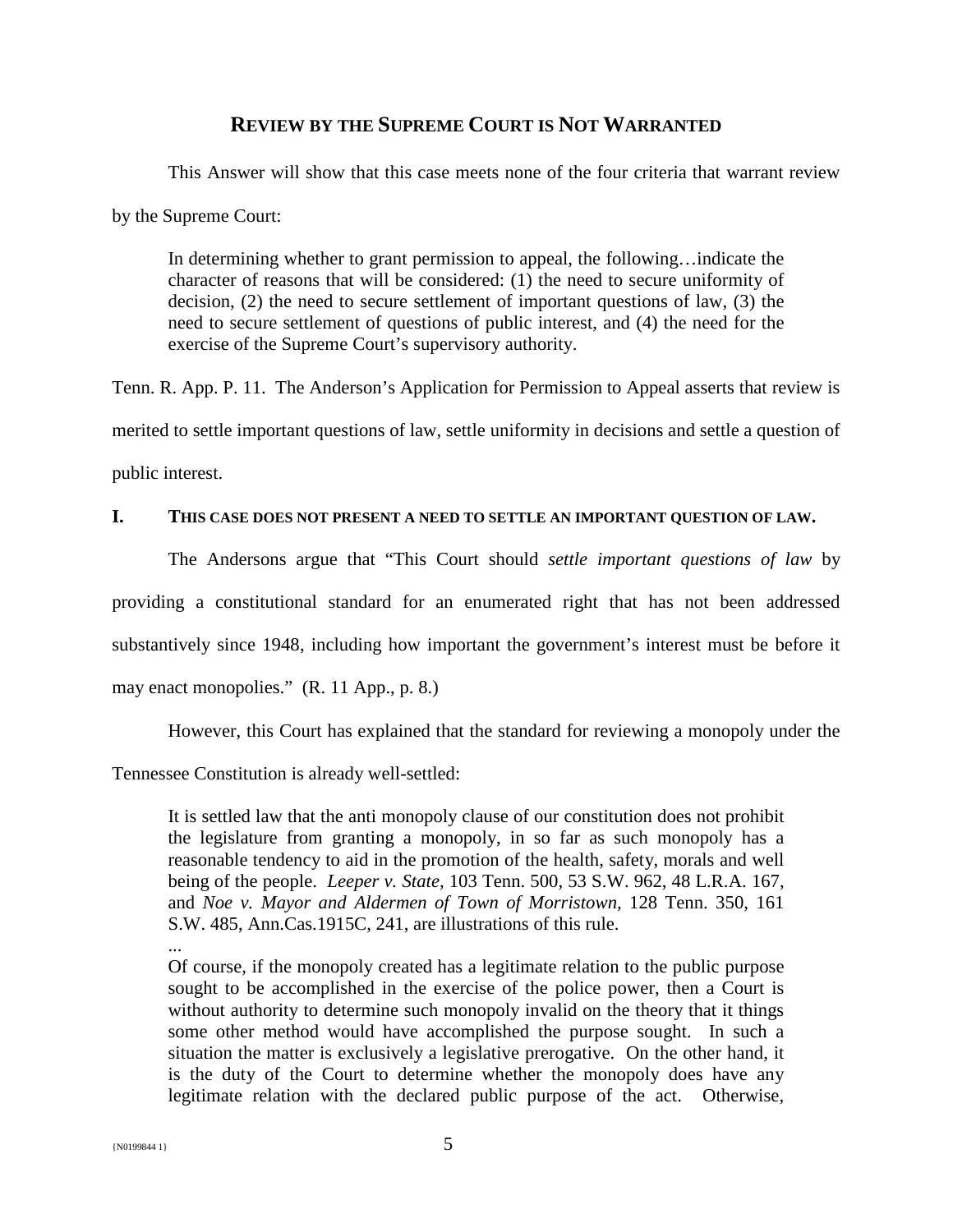# **REVIEW BY THE SUPREME COURT IS NOT WARRANTED**

This Answer will show that this case meets none of the four criteria that warrant review by the Supreme Court:

In determining whether to grant permission to appeal, the following…indicate the character of reasons that will be considered: (1) the need to secure uniformity of decision, (2) the need to secure settlement of important questions of law, (3) the need to secure settlement of questions of public interest, and (4) the need for the exercise of the Supreme Court's supervisory authority.

Tenn. R. App. P. 11. The Anderson's Application for Permission to Appeal asserts that review is merited to settle important questions of law, settle uniformity in decisions and settle a question of

public interest.

# **I. THIS CASE DOES NOT PRESENT A NEED TO SETTLE AN IMPORTANT QUESTION OF LAW.**

The Andersons argue that "This Court should *settle important questions of law* by

providing a constitutional standard for an enumerated right that has not been addressed

substantively since 1948, including how important the government's interest must be before it

may enact monopolies." (R. 11 App., p. 8.)

However, this Court has explained that the standard for reviewing a monopoly under the

Tennessee Constitution is already well-settled:

It is settled law that the anti monopoly clause of our constitution does not prohibit the legislature from granting a monopoly, in so far as such monopoly has a reasonable tendency to aid in the promotion of the health, safety, morals and well being of the people. *Leeper v. State,* 103 Tenn. 500, 53 S.W. 962, 48 L.R.A. 167, and *Noe v. Mayor and Aldermen of Town of Morristown,* 128 Tenn. 350, 161 S.W. 485, Ann.Cas.1915C, 241, are illustrations of this rule.

... Of course, if the monopoly created has a legitimate relation to the public purpose sought to be accomplished in the exercise of the police power, then a Court is without authority to determine such monopoly invalid on the theory that it things some other method would have accomplished the purpose sought. In such a situation the matter is exclusively a legislative prerogative. On the other hand, it is the duty of the Court to determine whether the monopoly does have any legitimate relation with the declared public purpose of the act. Otherwise,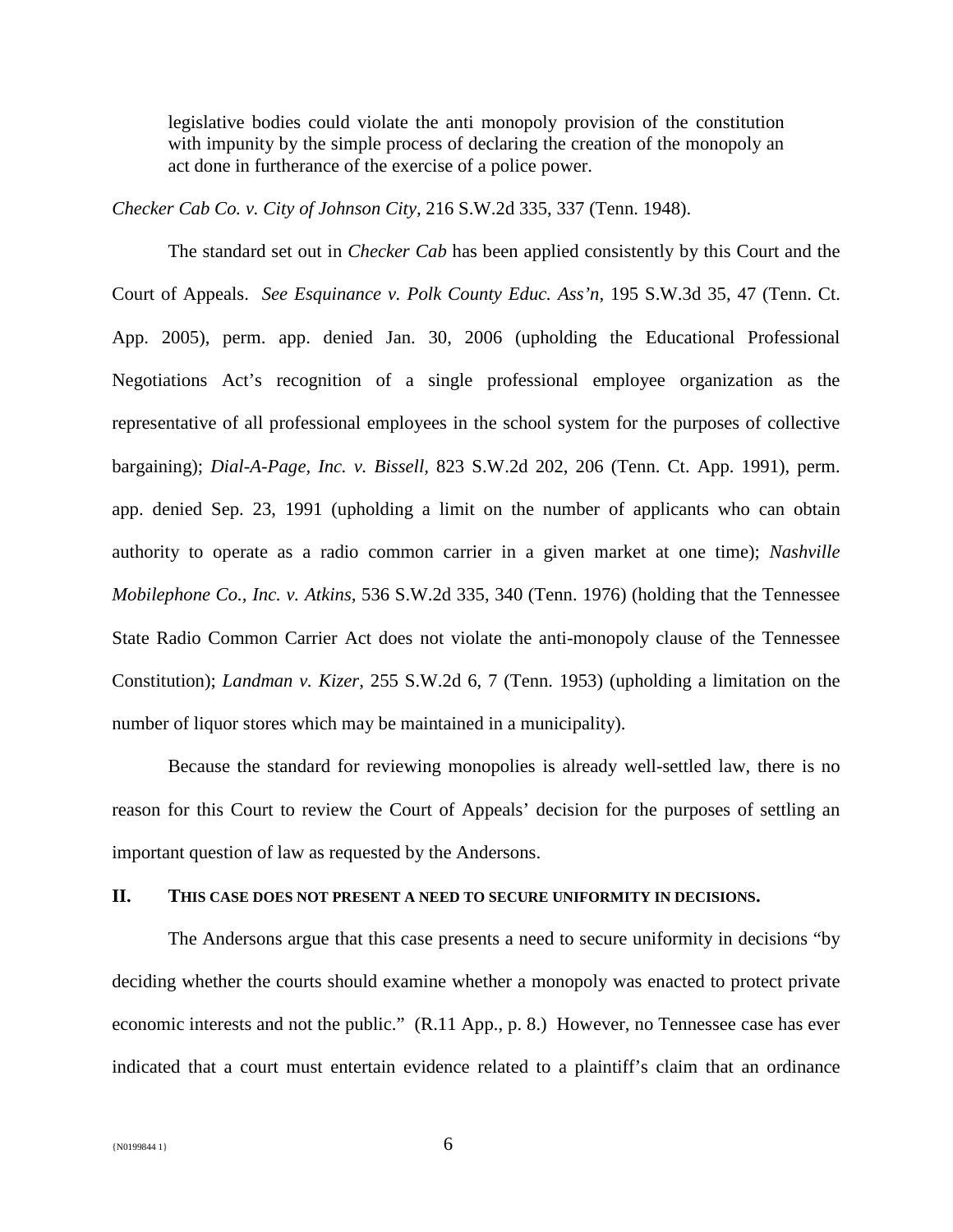legislative bodies could violate the anti monopoly provision of the constitution with impunity by the simple process of declaring the creation of the monopoly an act done in furtherance of the exercise of a police power.

*Checker Cab Co. v. City of Johnson City,* 216 S.W.2d 335, 337 (Tenn. 1948).

The standard set out in *Checker Cab* has been applied consistently by this Court and the Court of Appeals. *See Esquinance v. Polk County Educ. Ass'n,* 195 S.W.3d 35, 47 (Tenn. Ct. App. 2005), perm. app. denied Jan. 30, 2006 (upholding the Educational Professional Negotiations Act's recognition of a single professional employee organization as the representative of all professional employees in the school system for the purposes of collective bargaining); *Dial-A-Page, Inc. v. Bissell,* 823 S.W.2d 202, 206 (Tenn. Ct. App. 1991), perm. app. denied Sep. 23, 1991 (upholding a limit on the number of applicants who can obtain authority to operate as a radio common carrier in a given market at one time); *Nashville Mobilephone Co., Inc. v. Atkins,* 536 S.W.2d 335, 340 (Tenn. 1976) (holding that the Tennessee State Radio Common Carrier Act does not violate the anti-monopoly clause of the Tennessee Constitution); *Landman v. Kizer,* 255 S.W.2d 6, 7 (Tenn. 1953) (upholding a limitation on the number of liquor stores which may be maintained in a municipality).

Because the standard for reviewing monopolies is already well-settled law, there is no reason for this Court to review the Court of Appeals' decision for the purposes of settling an important question of law as requested by the Andersons.

#### **II. THIS CASE DOES NOT PRESENT A NEED TO SECURE UNIFORMITY IN DECISIONS.**

The Andersons argue that this case presents a need to secure uniformity in decisions "by deciding whether the courts should examine whether a monopoly was enacted to protect private economic interests and not the public." (R.11 App., p. 8.) However, no Tennessee case has ever indicated that a court must entertain evidence related to a plaintiff's claim that an ordinance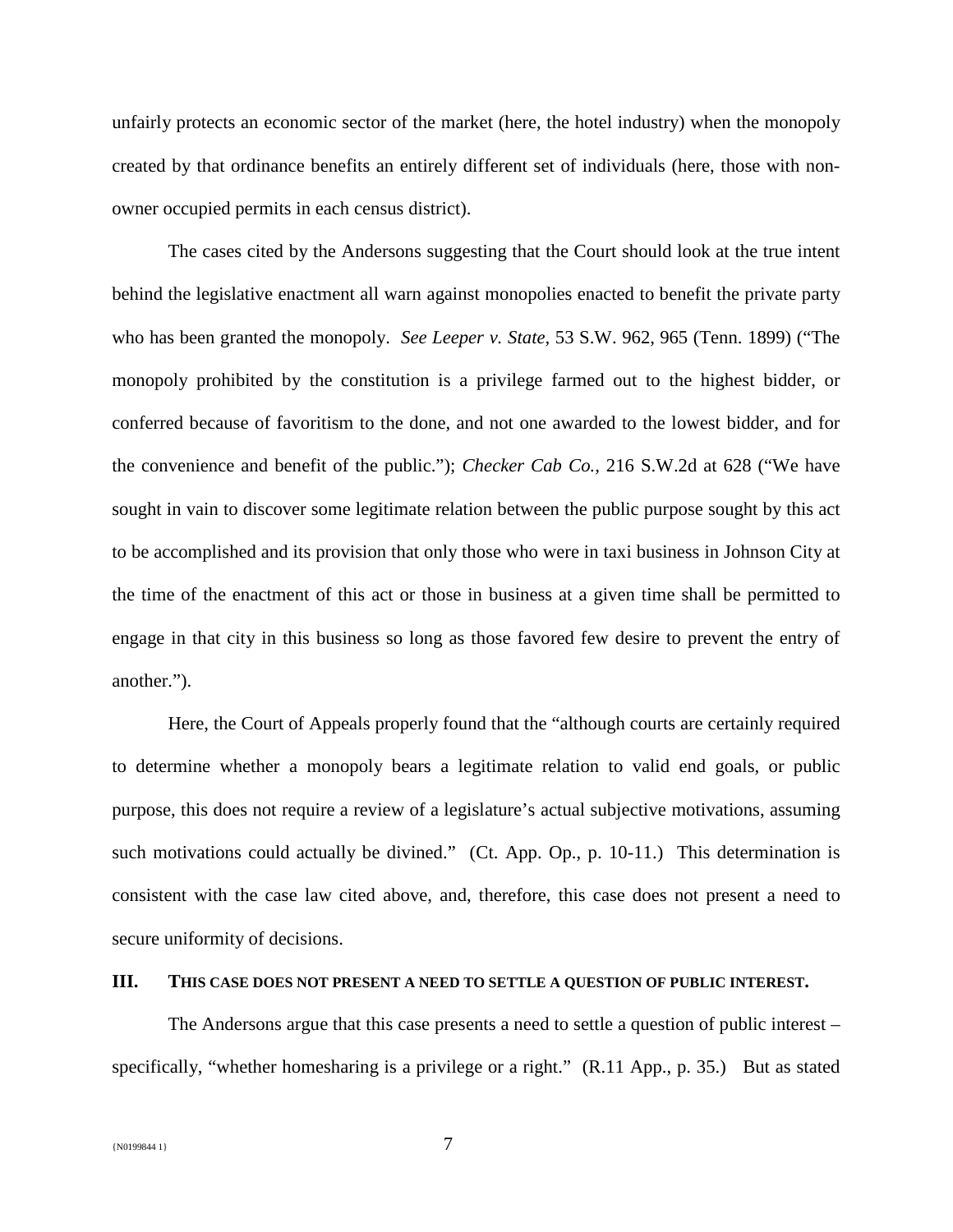unfairly protects an economic sector of the market (here, the hotel industry) when the monopoly created by that ordinance benefits an entirely different set of individuals (here, those with nonowner occupied permits in each census district).

The cases cited by the Andersons suggesting that the Court should look at the true intent behind the legislative enactment all warn against monopolies enacted to benefit the private party who has been granted the monopoly. *See Leeper v. State,* 53 S.W. 962, 965 (Tenn. 1899) ("The monopoly prohibited by the constitution is a privilege farmed out to the highest bidder, or conferred because of favoritism to the done, and not one awarded to the lowest bidder, and for the convenience and benefit of the public."); *Checker Cab Co.,* 216 S.W.2d at 628 ("We have sought in vain to discover some legitimate relation between the public purpose sought by this act to be accomplished and its provision that only those who were in taxi business in Johnson City at the time of the enactment of this act or those in business at a given time shall be permitted to engage in that city in this business so long as those favored few desire to prevent the entry of another.").

Here, the Court of Appeals properly found that the "although courts are certainly required to determine whether a monopoly bears a legitimate relation to valid end goals, or public purpose, this does not require a review of a legislature's actual subjective motivations, assuming such motivations could actually be divined." (Ct. App. Op., p. 10-11.) This determination is consistent with the case law cited above, and, therefore, this case does not present a need to secure uniformity of decisions.

#### **III. THIS CASE DOES NOT PRESENT A NEED TO SETTLE A QUESTION OF PUBLIC INTEREST.**

The Andersons argue that this case presents a need to settle a question of public interest – specifically, "whether homesharing is a privilege or a right." (R.11 App., p. 35.) But as stated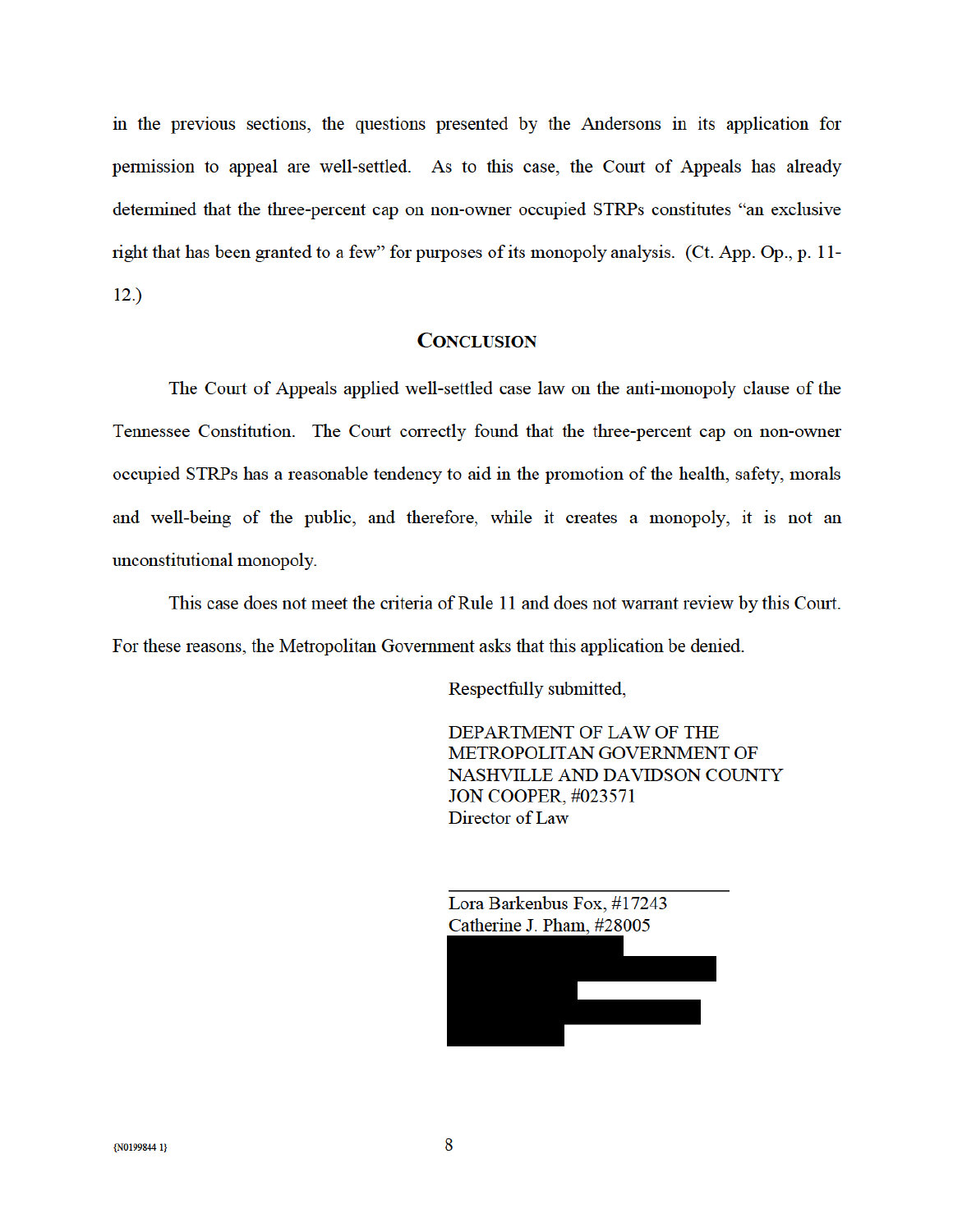in the previous sections, the questions presented by the Andersons in its application for permission to appeal are well-settled. As to this case, the Court of Appeals has already determined that the three-percent cap on non-owner occupied STRPs constitutes "an exclusive right that has been granted to a few" for purposes of its monopoly analysis. (Ct. App. Op., p. 11- $12.)$ 

## **CONCLUSION**

The Court of Appeals applied well-settled case law on the anti-monopoly clause of the Tennessee Constitution. The Court correctly found that the three-percent cap on non-owner occupied STRPs has a reasonable tendency to aid in the promotion of the health, safety, morals and well-being of the public, and therefore, while it creates a monopoly, it is not an unconstitutional monopoly.

This case does not meet the criteria of Rule 11 and does not warrant review by this Court. For these reasons, the Metropolitan Government asks that this application be denied.

Respectfully submitted,

DEPARTMENT OF LAW OF THE METROPOLITAN GOVERNMENT OF NASHVILLE AND DAVIDSON COUNTY **JON COOPER, #023571** Director of Law